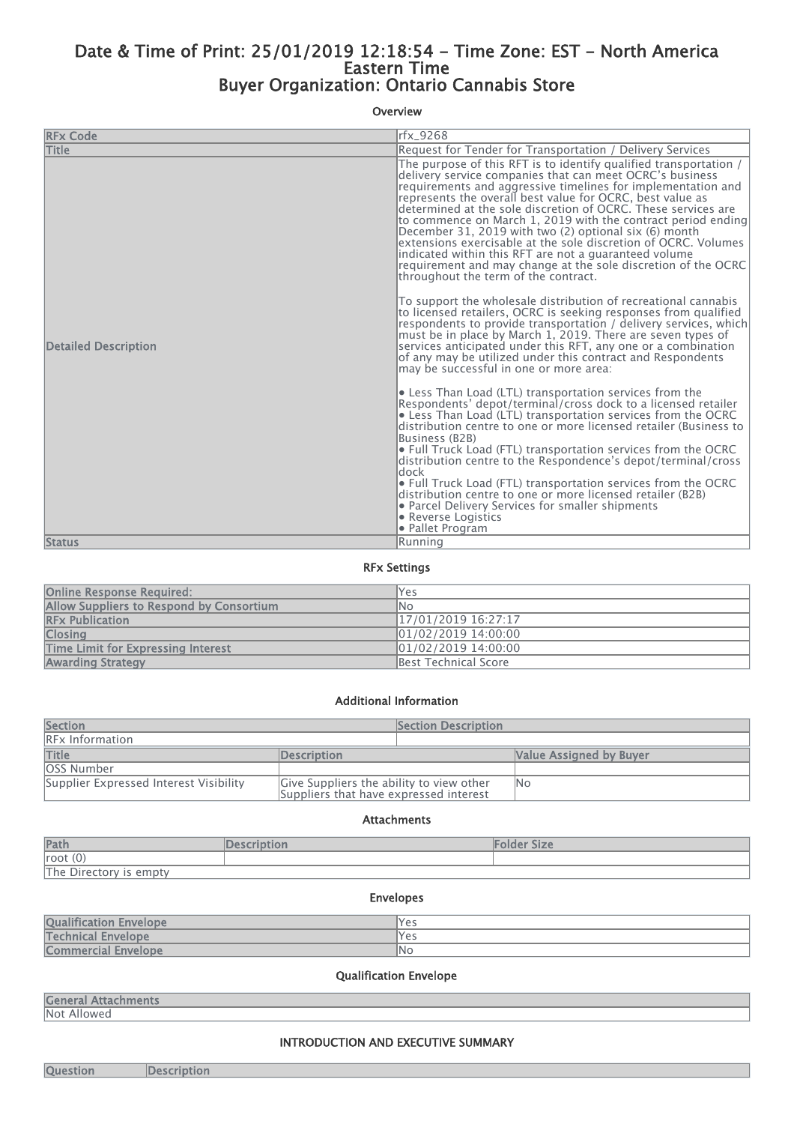# Date & Time of Print: 25/01/2019 12:18:54 - Time Zone: EST - North America Eastern Time Buyer Organization: Ontario Cannabis Store

#### Overview

| <b>RFx Code</b>             | rfx 9268                                                                                                                                                                                                                                                                                                                                                                                                                                                                                                                                                                                                                                                                                                  |
|-----------------------------|-----------------------------------------------------------------------------------------------------------------------------------------------------------------------------------------------------------------------------------------------------------------------------------------------------------------------------------------------------------------------------------------------------------------------------------------------------------------------------------------------------------------------------------------------------------------------------------------------------------------------------------------------------------------------------------------------------------|
| <b>Title</b>                | Request for Tender for Transportation / Delivery Services                                                                                                                                                                                                                                                                                                                                                                                                                                                                                                                                                                                                                                                 |
|                             | The purpose of this RFT is to identify qualified transportation /<br>delivery service companies that can meet OCRC's business<br>requirements and aggressive timelines for implementation and<br>represents the overall best value for OCRC, best value as<br>determined at the sole discretion of OCRC. These services are<br>to commence on March 1, 2019 with the contract period ending<br>December 31, 2019 with two (2) optional six (6) month<br>lextensions exercisable at the sole discretion of OCRC. Volumes<br>indicated within this RFT are not a quaranteed volume<br>requirement and may change at the sole discretion of the OCRC<br>throughout the term of the contract.                 |
| <b>Detailed Description</b> | To support the wholesale distribution of recreational cannabis<br>to licensed retailers, OCRC is seeking responses from qualified<br>respondents to provide transportation / delivery services, which<br>must be in place by March 1, 2019. There are seven types of<br>services anticipated under this RFT, any one or a combination<br>of any may be utilized under this contract and Respondents<br>may be successful in one or more area:                                                                                                                                                                                                                                                             |
|                             | $\bullet$ Less Than Load (LTL) transportation services from the<br>Respondents' depot/terminal/cross dock to a licensed retailer<br>$\bullet$ Less Than Load (LTL) transportation services from the OCRC<br>distribution centre to one or more licensed retailer (Business to<br>Business (B2B)<br>$\bullet$ Full Truck Load (FTL) transportation services from the OCRC $\,$<br>distribution centre to the Respondence's depot/terminal/cross<br>ldock<br>$\bullet$ Full Truck Load (FTL) transportation services from the OCRC $\,$<br>distribution centre to one or more licensed retailer (B2B)<br>• Parcel Delivery Services for smaller shipments<br><b>• Reverse Logistics</b><br>● Pallet Program |
| <b>Status</b>               | lRunning                                                                                                                                                                                                                                                                                                                                                                                                                                                                                                                                                                                                                                                                                                  |

### RFx Settings

| <b>Online Response Required:</b>         | Yes                  |
|------------------------------------------|----------------------|
| Allow Suppliers to Respond by Consortium | lNo                  |
| <b>RFx Publication</b>                   | 17/01/2019 16:27:17  |
| <b>Closing</b>                           | 01/02/2019 14:00:00  |
| Time Limit for Expressing Interest       | 01/02/2019 14:00:00  |
| <b>Awarding Strategy</b>                 | Best Technical Score |

#### Additional Information

| <b>Section</b>                         |                                                                                    | <b>Section Description</b> |                         |
|----------------------------------------|------------------------------------------------------------------------------------|----------------------------|-------------------------|
| <b>RFx Information</b>                 |                                                                                    |                            |                         |
| <b>Title</b>                           | <b>Description</b>                                                                 |                            | Value Assigned by Buyer |
| <b>OSS Number</b>                      |                                                                                    |                            |                         |
| Supplier Expressed Interest Visibility | Give Suppliers the ability to view other<br>Suppliers that have expressed interest |                            | <b>No</b>               |

#### Attachments

| Path                   | escription | Folder Size |
|------------------------|------------|-------------|
| root $(0)$             |            |             |
| The Directory is empty |            |             |

# Envelopes **Qualification Envelope** Yes **Technical Envelope Yes Alternative Contract Contract Contract Contract Contract Contract Contract Contract Contract Contract Contract Contract Contract Contract Contract Contract Contract Contract Contract Contract Contra** Commercial Envelope No No

## Qualification Envelope

## General Attachments Not Allowed

#### INTRODUCTION AND EXECUTIVE SUMMARY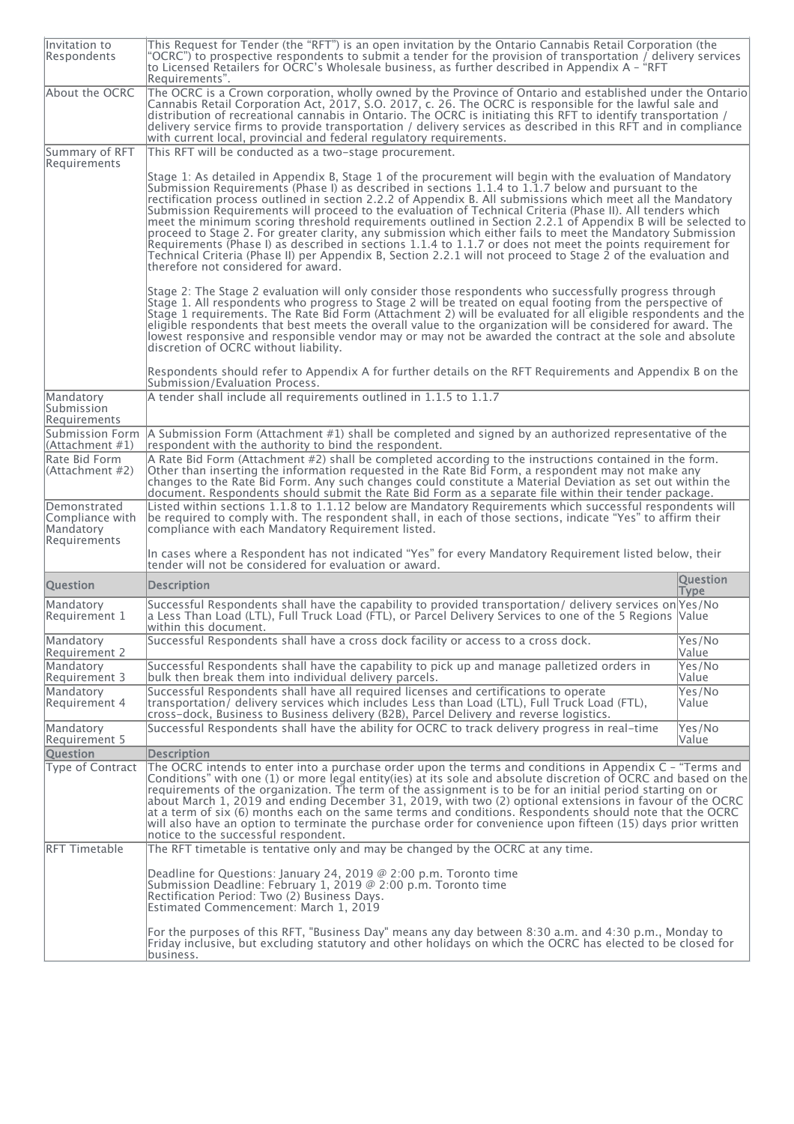| Invitation to<br>Respondents                                 | This Request for Tender (the "RFT") is an open invitation by the Ontario Cannabis Retail Corporation (the<br>"OCRC") to prospective respondents to submit a tender for the provision of transportation / delivery services<br>to Licensed Retailers for OCRC's Wholesale business, as further described in Appendix A - "RFT"<br>Requirements".                                                                                                                                                                                                                                                                                                                                                                                                                                                                                                                                                                                                    |                                |
|--------------------------------------------------------------|----------------------------------------------------------------------------------------------------------------------------------------------------------------------------------------------------------------------------------------------------------------------------------------------------------------------------------------------------------------------------------------------------------------------------------------------------------------------------------------------------------------------------------------------------------------------------------------------------------------------------------------------------------------------------------------------------------------------------------------------------------------------------------------------------------------------------------------------------------------------------------------------------------------------------------------------------|--------------------------------|
| About the OCRC                                               | The OCRC is a Crown corporation, wholly owned by the Province of Ontario and established under the Ontario<br>Cannabis Retail Corporation Act, 2017, S.O. 2017, c. 26. The OCRC is responsible for the lawful sale and<br>distribution of recreational cannabis in Ontario. The OCRC is initiating this RFT to identify transportation /<br>delivery service firms to provide transportation / delivery services as described in this RFT and in compliance<br>with current local, provincial and federal regulatory requirements.                                                                                                                                                                                                                                                                                                                                                                                                                 |                                |
| Summary of RFT<br>Requirements                               | This RFT will be conducted as a two-stage procurement.                                                                                                                                                                                                                                                                                                                                                                                                                                                                                                                                                                                                                                                                                                                                                                                                                                                                                             |                                |
|                                                              | Stage 1: As detailed in Appendix B, Stage 1 of the procurement will begin with the evaluation of Mandatory<br>Submission Requirements (Phase I) as described in sections 1.1.4 to 1.1.7 below and pursuant to the<br>rectification process outlined in section 2.2.2 of Appendix B. All submissions which meet all the Mandatory<br>Submission Requirements will proceed to the evaluation of Technical Criteria (Phase II). All tenders which<br>meet the minimum scoring threshold requirements outlined in Section 2.2.1 of Appendix B will be selected to<br>proceed to Stage 2. For greater clarity, any submission which either fails to meet the Mandatory Submission<br>Requirements (Phase I) as described in sections 1.1.4 to 1.1.7 or does not meet the points requirement for<br>Technical Criteria (Phase II) per Appendix B, Section 2.2.1 will not proceed to Stage 2 of the evaluation and<br>therefore not considered for award. |                                |
|                                                              | Stage 2: The Stage 2 evaluation will only consider those respondents who successfully progress through<br>Stage 1. All respondents who progress to Stage 2 will be treated on equal footing from the perspective of<br>Stage 1 requirements. The Rate Bid Form (Attachment 2) will be evaluated for all eligible respondents and the<br>eligible respondents that best meets the overall value to the organization will be considered for award. The<br>lowest responsive and responsible vendor may or may not be awarded the contract at the sole and absolute<br>discretion of OCRC without liability.                                                                                                                                                                                                                                                                                                                                          |                                |
|                                                              | Respondents should refer to Appendix A for further details on the RFT Requirements and Appendix B on the<br>Submission/Evaluation Process.                                                                                                                                                                                                                                                                                                                                                                                                                                                                                                                                                                                                                                                                                                                                                                                                         |                                |
| Mandatory<br>Submission<br>Requirements                      | A tender shall include all requirements outlined in 1.1.5 to 1.1.7                                                                                                                                                                                                                                                                                                                                                                                                                                                                                                                                                                                                                                                                                                                                                                                                                                                                                 |                                |
| Submission Form<br>(Attachment #1)                           | A Submission Form (Attachment #1) shall be completed and signed by an authorized representative of the<br>respondent with the authority to bind the respondent.                                                                                                                                                                                                                                                                                                                                                                                                                                                                                                                                                                                                                                                                                                                                                                                    |                                |
| Rate Bid Form<br>(Attachment #2)                             | A Rate Bid Form (Attachment #2) shall be completed according to the instructions contained in the form.<br>Other than inserting the information requested in the Rate Bid Form, a respondent may not make any<br>changes to the Rate Bid Form. Any such changes could constitute a Material Deviation as set out within the<br>document. Respondents should submit the Rate Bid Form as a separate file within their tender package.                                                                                                                                                                                                                                                                                                                                                                                                                                                                                                               |                                |
| Demonstrated<br>Compliance with<br>Mandatory<br>Requirements | Listed within sections 1.1.8 to 1.1.12 below are Mandatory Requirements which successful respondents will<br>be required to comply with. The respondent shall, in each of those sections, indicate "Yes" to affirm their<br>compliance with each Mandatory Requirement listed.                                                                                                                                                                                                                                                                                                                                                                                                                                                                                                                                                                                                                                                                     |                                |
|                                                              | In cases where a Respondent has not indicated "Yes" for every Mandatory Requirement listed below, their<br>tender will not be considered for evaluation or award.                                                                                                                                                                                                                                                                                                                                                                                                                                                                                                                                                                                                                                                                                                                                                                                  |                                |
| <b>Question</b>                                              | <b>Description</b>                                                                                                                                                                                                                                                                                                                                                                                                                                                                                                                                                                                                                                                                                                                                                                                                                                                                                                                                 | <b>Question</b><br><b>Type</b> |
| Mandatory<br>Requirement 1                                   | Successful Respondents shall have the capability to provided transportation/ delivery services on Yes/No<br>a Less Than Load (LTL), Full Truck Load (FTL), or Parcel Delivery Services to one of the 5 Regions  Value <br>within this document.                                                                                                                                                                                                                                                                                                                                                                                                                                                                                                                                                                                                                                                                                                    |                                |
| Mandatory<br>Requirement 2                                   | Successful Respondents shall have a cross dock facility or access to a cross dock.                                                                                                                                                                                                                                                                                                                                                                                                                                                                                                                                                                                                                                                                                                                                                                                                                                                                 | Yes/No<br>Value                |
| Mandatory<br>Requirement 3                                   | Successful Respondents shall have the capability to pick up and manage palletized orders in<br>bulk then break them into individual delivery parcels.                                                                                                                                                                                                                                                                                                                                                                                                                                                                                                                                                                                                                                                                                                                                                                                              | Yes/No<br>Value                |
| Mandatory<br>Requirement 4                                   | Successful Respondents shall have all required licenses and certifications to operate<br>transportation/ delivery services which includes Less than Load (LTL), Full Truck Load (FTL),<br>cross-dock, Business to Business delivery (B2B), Parcel Delivery and reverse logistics.                                                                                                                                                                                                                                                                                                                                                                                                                                                                                                                                                                                                                                                                  | Yes/No<br>Value                |
| Mandatory<br>Requirement 5                                   | Successful Respondents shall have the ability for OCRC to track delivery progress in real-time                                                                                                                                                                                                                                                                                                                                                                                                                                                                                                                                                                                                                                                                                                                                                                                                                                                     | Yes/No<br>Value                |
| <b>Question</b>                                              | <b>Description</b>                                                                                                                                                                                                                                                                                                                                                                                                                                                                                                                                                                                                                                                                                                                                                                                                                                                                                                                                 |                                |
| Type of Contract                                             | The OCRC intends to enter into a purchase order upon the terms and conditions in Appendix C - "Terms and<br>Conditions" with one (1) or more legal entity(ies) at its sole and absolute discretion of OCRC and based on the<br>requirements of the organization. The term of the assignment is to be for an initial period starting on or<br>about March 1, 2019 and ending December 31, 2019, with two (2) optional extensions in favour of the OCRC<br>at a term of six (6) months each on the same terms and conditions. Respondents should note that the OCRC<br>will also have an option to terminate the purchase order for convenience upon fifteen (15) days prior written<br>notice to the successful respondent.                                                                                                                                                                                                                         |                                |
| RFT Timetable                                                | The RFT timetable is tentative only and may be changed by the OCRC at any time.                                                                                                                                                                                                                                                                                                                                                                                                                                                                                                                                                                                                                                                                                                                                                                                                                                                                    |                                |
|                                                              | Deadline for Questions: January 24, 2019 $@$ 2:00 p.m. Toronto time<br>Submission Deadline: February 1, 2019 @ 2:00 p.m. Toronto time<br>Rectification Period: Two (2) Business Days.<br>Estimated Commencement: March 1, 2019                                                                                                                                                                                                                                                                                                                                                                                                                                                                                                                                                                                                                                                                                                                     |                                |
|                                                              | For the purposes of this RFT, "Business Day" means any day between 8:30 a.m. and 4:30 p.m., Monday to<br>Friday inclusive, but excluding statutory and other holidays on which the OCRC has elected to be closed for<br>business.                                                                                                                                                                                                                                                                                                                                                                                                                                                                                                                                                                                                                                                                                                                  |                                |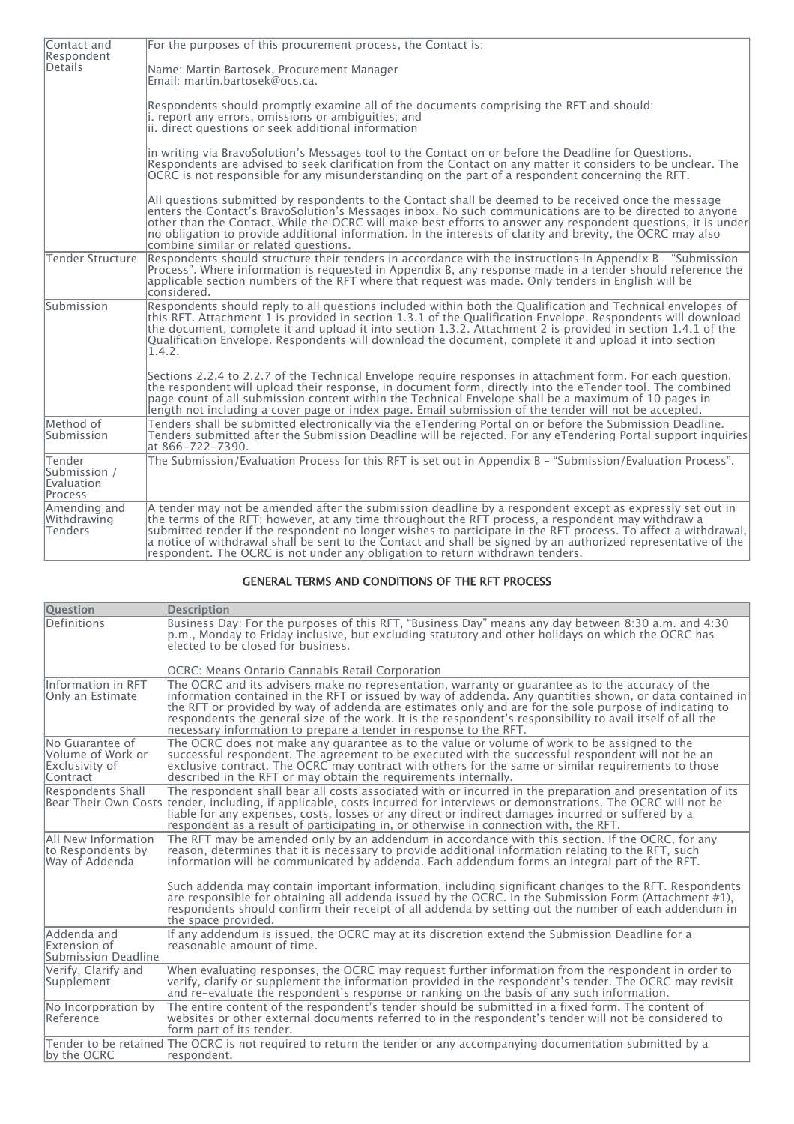| Contact and<br>Respondent                       | For the purposes of this procurement process, the Contact is:                                                                                                                                                                                                                                                                                                                                                                                                                                                                       |
|-------------------------------------------------|-------------------------------------------------------------------------------------------------------------------------------------------------------------------------------------------------------------------------------------------------------------------------------------------------------------------------------------------------------------------------------------------------------------------------------------------------------------------------------------------------------------------------------------|
| Details                                         | Name: Martin Bartosek, Procurement Manager<br>Fmail: martin.bartosek@ocs.ca.                                                                                                                                                                                                                                                                                                                                                                                                                                                        |
|                                                 | Respondents should promptly examine all of the documents comprising the RFT and should:<br>i. report any errors, omissions or ambiguities; and<br>ii. direct questions or seek additional information                                                                                                                                                                                                                                                                                                                               |
|                                                 | in writing via BravoSolution's Messages tool to the Contact on or before the Deadline for Questions.<br>Respondents are advised to seek clarification from the Contact on any matter it considers to be unclear. The<br>OCRC is not responsible for any misunderstanding on the part of a respondent concerning the RFT.                                                                                                                                                                                                            |
|                                                 | All questions submitted by respondents to the Contact shall be deemed to be received once the message<br>enters the Contact's BravoSolution's Messages inbox. No such communications are to be directed to anyone<br>other than the Contact. While the OCRC will make best efforts to answer any respondent questions, it is under<br>no obligation to provide additional information. In the interests of clarity and brevity, the OCRC may also<br>combine similar or related questions.                                          |
| Tender Structure                                | Respondents should structure their tenders in accordance with the instructions in Appendix B - "Submission"<br>Process". Where information is requested in Appendix B, any response made in a tender should reference the<br>applicable section numbers of the RFT where that request was made. Only tenders in English will be<br>considered.                                                                                                                                                                                      |
| Submission                                      | Respondents should reply to all questions included within both the Qualification and Technical envelopes of<br>this RFT. Attachment 1 is provided in section 1.3.1 of the Qualification Envelope. Respondents will download<br>the document, complete it and upload it into section 1.3.2. Attachment 2 is provided in section 1.4.1 of the<br>$\alpha$ Qualification Envelope. Respondents will download the document, complete it and upload it into section<br>1.4.2.                                                            |
|                                                 | Sections 2.2.4 to 2.2.7 of the Technical Envelope require responses in attachment form. For each question,<br>the respondent will upload their response, in document form, directly into the eTender tool. The combined<br>page count of all submission content within the Technical Envelope shall be a maximum of 10 pages in<br>length not including a cover page or index page. Email submission of the tender will not be accepted.                                                                                            |
| Method of<br>Submission                         | Tenders shall be submitted electronically via the eTendering Portal on or before the Submission Deadline.<br>Tenders submitted after the Submission Deadline will be rejected. For any eTendering Portal support inquiries<br>at 866-722-7390.                                                                                                                                                                                                                                                                                      |
| Tender<br>Submission /<br>Evaluation<br>Process | The Submission/Evaluation Process for this RFT is set out in Appendix B - "Submission/Evaluation Process".                                                                                                                                                                                                                                                                                                                                                                                                                          |
| Amending and<br>Withdrawing<br>Tenders          | A tender may not be amended after the submission deadline by a respondent except as expressly set out in<br>the terms of the RFT; however, at any time throughout the RFT process, a respondent may withdraw a<br>submitted tender if the respondent no longer wishes to participate in the RFT process. To affect a withdrawal,<br>a notice of withdrawal shall be sent to the Contact and shall be signed by an authorized representative of the<br>respondent. The OCRC is not under any obligation to return withdrawn tenders. |

### GENERAL TERMS AND CONDITIONS OF THE RFT PROCESS

| <b>Question</b>                                                    | <b>Description</b>                                                                                                                                                                                                                                                                                                                                                                                                                                                                                         |
|--------------------------------------------------------------------|------------------------------------------------------------------------------------------------------------------------------------------------------------------------------------------------------------------------------------------------------------------------------------------------------------------------------------------------------------------------------------------------------------------------------------------------------------------------------------------------------------|
| Definitions                                                        | Business Day: For the purposes of this RFT, "Business Day" means any day between 8:30 a.m. and 4:30<br>p.m., Monday to Friday inclusive, but excluding statutory and other holidays on which the OCRC has<br>elected to be closed for business.                                                                                                                                                                                                                                                            |
|                                                                    | OCRC: Means Ontario Cannabis Retail Corporation                                                                                                                                                                                                                                                                                                                                                                                                                                                            |
| Information in RFT<br>Only an Estimate                             | The OCRC and its advisers make no representation, warranty or quarantee as to the accuracy of the<br>information contained in the RFT or issued by way of addenda. Any quantities shown, or data contained in<br>the RFT or provided by way of addenda are estimates only and are for the sole purpose of indicating to<br>respondents the general size of the work. It is the respondent's responsibility to avail itself of all the<br>necessary information to prepare a tender in response to the RFT. |
| No Guarantee of<br>Volume of Work or<br>Exclusivity of<br>Contract | The OCRC does not make any quarantee as to the value or volume of work to be assigned to the<br>successful respondent. The agreement to be executed with the successful respondent will not be an<br>exclusive contract. The OCRC may contract with others for the same or similar requirements to those<br>described in the RFT or may obtain the requirements internally.                                                                                                                                |
| Respondents Shall                                                  | The respondent shall bear all costs associated with or incurred in the preparation and presentation of its<br>Bear Their Own Costs tender, including, if applicable, costs incurred for interviews or demonstrations. The OCRC will not be<br>liable for any expenses, costs, losses or any direct or indirect damages incurred or suffered by a<br>respondent as a result of participating in, or otherwise in connection with, the RFT.                                                                  |
| All New Information<br>to Respondents by<br>Way of Addenda         | The RFT may be amended only by an addendum in accordance with this section. If the OCRC, for any<br>reason, determines that it is necessary to provide additional information relating to the RFT, such<br>information will be communicated by addenda. Each addendum forms an integral part of the RFT.                                                                                                                                                                                                   |
|                                                                    | Such addenda may contain important information, including significant changes to the RFT. Respondents<br>are responsible for obtaining all addenda issued by the OCRC. In the Submission Form (Attachment #1),<br>respondents should confirm their receipt of all addenda by setting out the number of each addendum in<br>the space provided.                                                                                                                                                             |
| Addenda and<br>Extension of<br>Submission Deadline                 | If any addendum is issued, the OCRC may at its discretion extend the Submission Deadline for a<br>reasonable amount of time.                                                                                                                                                                                                                                                                                                                                                                               |
| Verify, Clarify and<br>Supplement                                  | When evaluating responses, the OCRC may request further information from the respondent in order to<br>verify, clarify or supplement the information provided in the respondent's tender. The OCRC may revisit<br>and re-evaluate the respondent's response or ranking on the basis of any such information.                                                                                                                                                                                               |
| No Incorporation by<br>Reference                                   | The entire content of the respondent's tender should be submitted in a fixed form. The content of<br>websites or other external documents referred to in the respondent's tender will not be considered to<br>form part of its tender.                                                                                                                                                                                                                                                                     |
| by the OCRC                                                        | Tender to be retained The OCRC is not required to return the tender or any accompanying documentation submitted by a<br>lrespondent.                                                                                                                                                                                                                                                                                                                                                                       |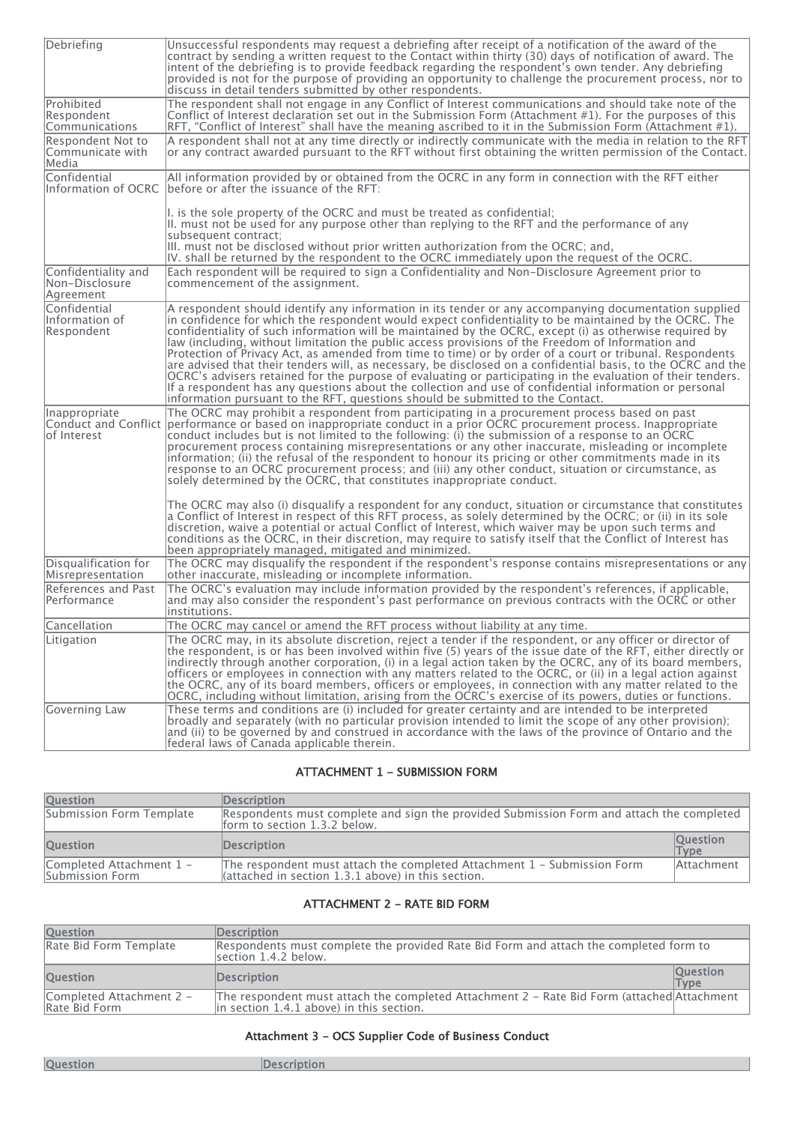| Debriefing                                          | Unsuccessful respondents may request a debriefing after receipt of a notification of the award of the<br>contract by sending a written request to the Contact within thirty (30) days of notification of award. The<br>intent of the debriefing is to provide feedback regarding the respondent's own tender. Any debriefing<br>provided is not for the purpose of providing an opportunity to challenge the procurement process, nor to<br>discuss in detail tenders submitted by other respondents.                                                                                                                                                                                                                                                                                                                                                                                                                                                                   |
|-----------------------------------------------------|-------------------------------------------------------------------------------------------------------------------------------------------------------------------------------------------------------------------------------------------------------------------------------------------------------------------------------------------------------------------------------------------------------------------------------------------------------------------------------------------------------------------------------------------------------------------------------------------------------------------------------------------------------------------------------------------------------------------------------------------------------------------------------------------------------------------------------------------------------------------------------------------------------------------------------------------------------------------------|
| Prohibited<br>Respondent<br>Communications          | The respondent shall not engage in any Conflict of Interest communications and should take note of the<br>Conflict of Interest declaration set out in the Submission Form (Attachment #1). For the purposes of this<br>RFT, "Conflict of Interest" shall have the meaning ascribed to it in the Submission Form (Attachment #1).                                                                                                                                                                                                                                                                                                                                                                                                                                                                                                                                                                                                                                        |
| Respondent Not to<br>Communicate with<br> Media     | A respondent shall not at any time directly or indirectly communicate with the media in relation to the RFT<br>or any contract awarded pursuant to the RFT without first obtaining the written permission of the Contact.                                                                                                                                                                                                                                                                                                                                                                                                                                                                                                                                                                                                                                                                                                                                               |
| Confidential                                        | All information provided by or obtained from the OCRC in any form in connection with the RFT either<br>Information of OCRC before or after the issuance of the RFT:                                                                                                                                                                                                                                                                                                                                                                                                                                                                                                                                                                                                                                                                                                                                                                                                     |
|                                                     | $\vert$ . is the sole property of the OCRC and must be treated as confidential;<br>III. must not be used for any purpose other than replying to the RFT and the performance of any<br>subsequent contract:<br>$\vert$ III. must not be disclosed without prior written authorization from the OCRC; and,<br>IV. shall be returned by the respondent to the OCRC immediately upon the request of the OCRC.                                                                                                                                                                                                                                                                                                                                                                                                                                                                                                                                                               |
| Confidentiality and<br> Non-Disclosure<br>Agreement | Each respondent will be required to sign a Confidentiality and Non-Disclosure Agreement prior to<br>commencement of the assignment.                                                                                                                                                                                                                                                                                                                                                                                                                                                                                                                                                                                                                                                                                                                                                                                                                                     |
| Confidential<br>Information of<br>Respondent        | A respondent should identify any information in its tender or any accompanying documentation supplied<br>in confidence for which the respondent would expect confidentiality to be maintained by the OCRC. The<br>confidentiality of such information will be maintained by the OCRC, except (i) as otherwise required by<br>law (including, without limitation the public access provisions of the Freedom of Information and<br>Protection of Privacy Act, as amended from time to time) or by order of a court or tribunal. Respondents<br>are advised that their tenders will, as necessary, be disclosed on a confidential basis, to the OCRC and the a<br>OCRC's advisers retained for the purpose of evaluating or participating in the evaluation of their tenders.<br>If a respondent has any questions about the collection and use of confidential information or personal<br>information pursuant to the RFT, questions should be submitted to the Contact. |
| Inappropriate<br>lof Interest                       | The OCRC may prohibit a respondent from participating in a procurement process based on past<br>Conduct and Conflict  performance or based on inappropriate conduct in a prior OCRC procurement process. Inappropriate<br>conduct includes but is not limited to the following: (i) the submission of a response to an OCRC<br>procurement process containing misrepresentations or any other inaccurate, misleading or incomplete<br>information; (ii) the refusal of the respondent to honour its pricing or other commitments made in its<br>response to an OCRC procurement process; and (iii) any other conduct, situation or circumstance, as<br>solely determined by the OCRC, that constitutes inappropriate conduct.                                                                                                                                                                                                                                           |
|                                                     | The OCRC may also (i) disqualify a respondent for any conduct, situation or circumstance that constitutes<br>a Conflict of Interest in respect of this RFT process, as solely determined by the OCRC; or (ii) in its sole<br>discretion, waive a potential or actual Conflict of Interest, which waiver may be upon such terms and<br>conditions as the OCRC, in their discretion, may require to satisfy itself that the Conflict of Interest has<br>been appropriately managed, mitigated and minimized.                                                                                                                                                                                                                                                                                                                                                                                                                                                              |
| Disqualification for<br>Misrepresentation           | The OCRC may disqualify the respondent if the respondent's response contains misrepresentations or any<br>other inaccurate, misleading or incomplete information.                                                                                                                                                                                                                                                                                                                                                                                                                                                                                                                                                                                                                                                                                                                                                                                                       |
| References and Past<br>Performance                  | The OCRC's evaluation may include information provided by the respondent's references, if applicable,<br>and may also consider the respondent's past performance on previous contracts with the OCRC or other<br>linstitutions.                                                                                                                                                                                                                                                                                                                                                                                                                                                                                                                                                                                                                                                                                                                                         |
| Cancellation                                        | The OCRC may cancel or amend the RFT process without liability at any time.                                                                                                                                                                                                                                                                                                                                                                                                                                                                                                                                                                                                                                                                                                                                                                                                                                                                                             |
| Litigation                                          | The OCRC may, in its absolute discretion, reject a tender if the respondent, or any officer or director of<br>the respondent, is or has been involved within five (5) years of the issue date of the RFT, either directly or<br>indirectly through another corporation, (i) in a legal action taken by the OCRC, any of its board members,<br>officers or employees in connection with any matters related to the OCRC, or (ii) in a legal action against<br>the OCRC, any of its board members, officers or employees, in connection with any matter related to the<br>OCRC, including without limitation, arising from the OCRC's exercise of its powers, duties or functions.                                                                                                                                                                                                                                                                                        |
| Governing Law                                       | These terms and conditions are (i) included for greater certainty and are intended to be interpreted<br>broadly and separately (with no particular provision intended to limit the scope of any other provision);<br>and (ii) to be governed by and construed in accordance with the laws of the province of Ontario and the<br>federal laws of Canada applicable therein.                                                                                                                                                                                                                                                                                                                                                                                                                                                                                                                                                                                              |

# ATTACHMENT 1 - SUBMISSION FORM

| <b>Question</b>                             | <b>Description</b>                                                                                                                      |                                |
|---------------------------------------------|-----------------------------------------------------------------------------------------------------------------------------------------|--------------------------------|
| Submission Form Template                    | Respondents must complete and sign the provided Submission Form and attach the completed<br>form to section 1.3.2 below.                |                                |
| <b>Ouestion</b>                             | <b>Description</b>                                                                                                                      | <b>Question</b><br><b>Type</b> |
| Completed Attachment 1 -<br>Submission Form | The respondent must attach the completed Attachment 1 - Submission Form<br>$\lambda$ (attached in section 1.3.1 above) in this section. | Attachment                     |

### ATTACHMENT 2 - RATE BID FORM

| <b>Question</b>                           | <b>Description</b>                                                                                                                     |                         |
|-------------------------------------------|----------------------------------------------------------------------------------------------------------------------------------------|-------------------------|
| Rate Bid Form Template                    | Respondents must complete the provided Rate Bid Form and attach the completed form to<br>section 1.4.2 below.                          |                         |
| <b>Ouestion</b>                           | <b>Description</b>                                                                                                                     | <b>Question</b><br>Type |
| Completed Attachment 2 -<br>Rate Bid Form | The respondent must attach the completed Attachment 2 - Rate Bid Form (attached Attachment<br>in section 1.4.1 above) in this section. |                         |

## Attachment 3 - OCS Supplier Code of Business Conduct

| <b>Question</b> | Description |
|-----------------|-------------|
|                 |             |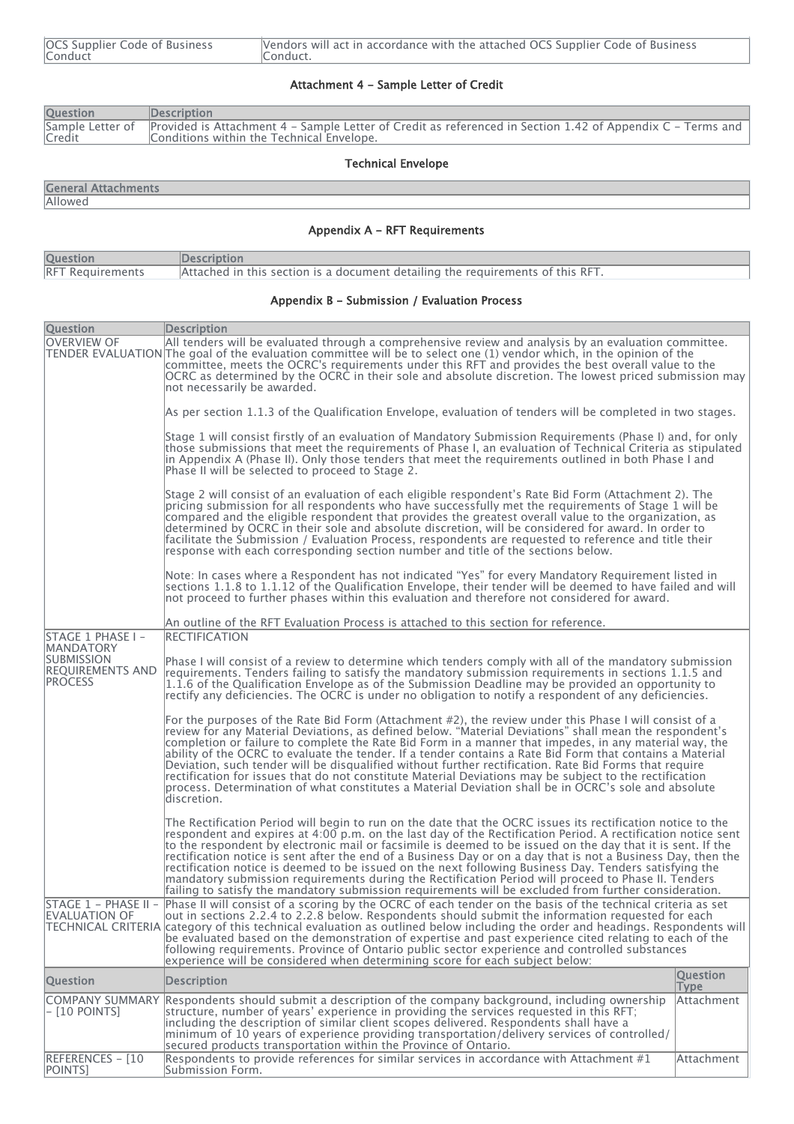| OCS Supplier Code of Business | Vendors will act in accordance with the attached OCS Supplier Code of Business |
|-------------------------------|--------------------------------------------------------------------------------|
| Conduct                       | Conduct.                                                                       |
|                               |                                                                                |

## Attachment 4 - Sample Letter of Credit

| <b>Question</b> | Description                                                                                                                                                              |
|-----------------|--------------------------------------------------------------------------------------------------------------------------------------------------------------------------|
| Credit          | Sample Letter of Provided is Attachment 4 – Sample Letter of Credit as referenced in Section 1.42 of Appendix C – Terms and<br>Conditions within the Technical Envelope. |

## Technical Envelope

| <b>General Attachments</b> |  |
|----------------------------|--|
|----------------------------|--|

**Allowed** 

# Appendix A - RFT Requirements

| <b>Question</b>         | <b>IDescription</b>                                                            |
|-------------------------|--------------------------------------------------------------------------------|
| <b>RFT Requirements</b> | Attached in this section is a document detailing the requirements of this RFT. |

## Appendix B - Submission / Evaluation Process

| Question                                                | <b>Description</b>                                                                                                                                                                                                                                                                                                                                                                                                                                                                                                                                                                                                                                                                                                                                                                      |                         |
|---------------------------------------------------------|-----------------------------------------------------------------------------------------------------------------------------------------------------------------------------------------------------------------------------------------------------------------------------------------------------------------------------------------------------------------------------------------------------------------------------------------------------------------------------------------------------------------------------------------------------------------------------------------------------------------------------------------------------------------------------------------------------------------------------------------------------------------------------------------|-------------------------|
| <b>OVERVIEW OF</b>                                      | All tenders will be evaluated through a comprehensive review and analysis by an evaluation committee.<br>TENDER EVALUATION The goal of the evaluation committee will be to select one (1) vendor which, in the opinion of the<br>committee, meets the OCRC's requirements under this RFT and provides the best overall value to the<br>OCRC as determined by the OCRC in their sole and absolute discretion. The lowest priced submission may<br>not necessarily be awarded.                                                                                                                                                                                                                                                                                                            |                         |
|                                                         | As per section 1.1.3 of the Qualification Envelope, evaluation of tenders will be completed in two stages.                                                                                                                                                                                                                                                                                                                                                                                                                                                                                                                                                                                                                                                                              |                         |
|                                                         | Stage 1 will consist firstly of an evaluation of Mandatory Submission Requirements (Phase I) and, for only<br>those submissions that meet the requirements of Phase I, an evaluation of Technical Criteria as stipulated<br>in Appendix A (Phase II). Only those tenders that meet the requirements outlined in both Phase I and<br>Phase II will be selected to proceed to Stage 2.                                                                                                                                                                                                                                                                                                                                                                                                    |                         |
|                                                         | Stage 2 will consist of an evaluation of each eligible respondent's Rate Bid Form (Attachment 2). The<br>pricing submission for all respondents who have successfully met the requirements of Stage 1 will be<br>compared and the eligible respondent that provides the greatest overall value to the organization, as<br>determined by OCRC in their sole and absolute discretion, will be considered for award. In order to<br>facilitate the Submission / Evaluation Process, respondents are requested to reference and title their<br>response with each corresponding section number and title of the sections below.                                                                                                                                                             |                         |
|                                                         | Note: In cases where a Respondent has not indicated "Yes" for every Mandatory Requirement listed in<br>sections 1.1.8 to 1.1.12 of the Qualification Envelope, their tender will be deemed to have failed and will<br>not proceed to further phases within this evaluation and therefore not considered for award.                                                                                                                                                                                                                                                                                                                                                                                                                                                                      |                         |
|                                                         | An outline of the RFT Evaluation Process is attached to this section for reference.                                                                                                                                                                                                                                                                                                                                                                                                                                                                                                                                                                                                                                                                                                     |                         |
| STAGE 1 PHASE I -<br>MANDATORY                          | <b>RECTIFICATION</b>                                                                                                                                                                                                                                                                                                                                                                                                                                                                                                                                                                                                                                                                                                                                                                    |                         |
| SUBMISSION<br><b>REQUIREMENTS AND</b><br><b>PROCESS</b> | Phase I will consist of a review to determine which tenders comply with all of the mandatory submission<br>requirements. Tenders failing to satisfy the mandatory submission requirements in sections 1.1.5 and<br>$1.1.6$ of the Qualification Envelope as of the Submission Deadline may be provided an opportunity to<br>rectify any deficiencies. The OCRC is under no obligation to notify a respondent of any deficiencies.                                                                                                                                                                                                                                                                                                                                                       |                         |
|                                                         | For the purposes of the Rate Bid Form (Attachment #2), the review under this Phase I will consist of a<br>review for any Material Deviations, as defined below. "Material Deviations" shall mean the respondent's<br>completion or failure to complete the Rate Bid Form in a manner that impedes, in any material way, the<br>ability of the OCRC to evaluate the tender. If a tender contains a Rate Bid Form that contains a Material<br>Deviation, such tender will be disqualified without further rectification. Rate Bid Forms that require<br>rectification for issues that do not constitute Material Deviations may be subject to the rectification<br>process. Determination of what constitutes a Material Deviation shall be in OCRC's sole and absolute<br>ldiscretion.   |                         |
|                                                         | The Rectification Period will begin to run on the date that the OCRC issues its rectification notice to the<br>respondent and expires at 4:00 p.m. on the last day of the Rectification Period. A rectification notice sent<br>to the respondent by electronic mail or facsimile is deemed to be issued on the day that it is sent. If the<br> rectification notice is sent after the end of a Business Day or on a day that is not a Business Day, then the<br>rectification notice is deemed to be issued on the next following Business Day. Tenders satisfying the<br>mandatory submission requirements during the Rectification Period will proceed to Phase II. Tenders <br>failing to satisfy the mandatory submission requirements will be excluded from further consideration. |                         |
| STAGE 1 - PHASE II -<br>EVALUATION OF                   | Phase II will consist of a scoring by the OCRC of each tender on the basis of the technical criteria as set<br>out in sections 2.2.4 to 2.2.8 below. Respondents should submit the information requested for each<br>TECHNICAL CRITERIA category of this technical evaluation as outlined below including the order and headings. Respondents will<br>be evaluated based on the demonstration of expertise and past experience cited relating to each of the<br>following requirements. Province of Ontario public sector experience and controlled substances<br>experience will be considered when determining score for each subject below:                                                                                                                                          |                         |
| <b>Question</b>                                         | <b>Description</b>                                                                                                                                                                                                                                                                                                                                                                                                                                                                                                                                                                                                                                                                                                                                                                      | <b>Question</b><br>Type |
| - [10 POINTS]                                           | COMPANY SUMMARY Respondents should submit a description of the company background, including ownership<br>structure, number of years' experience in providing the services requested in this RFT;<br>lincluding the description of similar client scopes delivered. Respondents shall have a<br>$\left  \right $ minimum of 10 years of experience providing transportation/delivery services of controlled/<br>secured products transportation within the Province of Ontario.                                                                                                                                                                                                                                                                                                         | Attachment              |
| REFERENCES - [10<br>POINTS]                             | Respondents to provide references for similar services in accordance with Attachment $#1$<br>Submission Form.                                                                                                                                                                                                                                                                                                                                                                                                                                                                                                                                                                                                                                                                           | Attachment              |